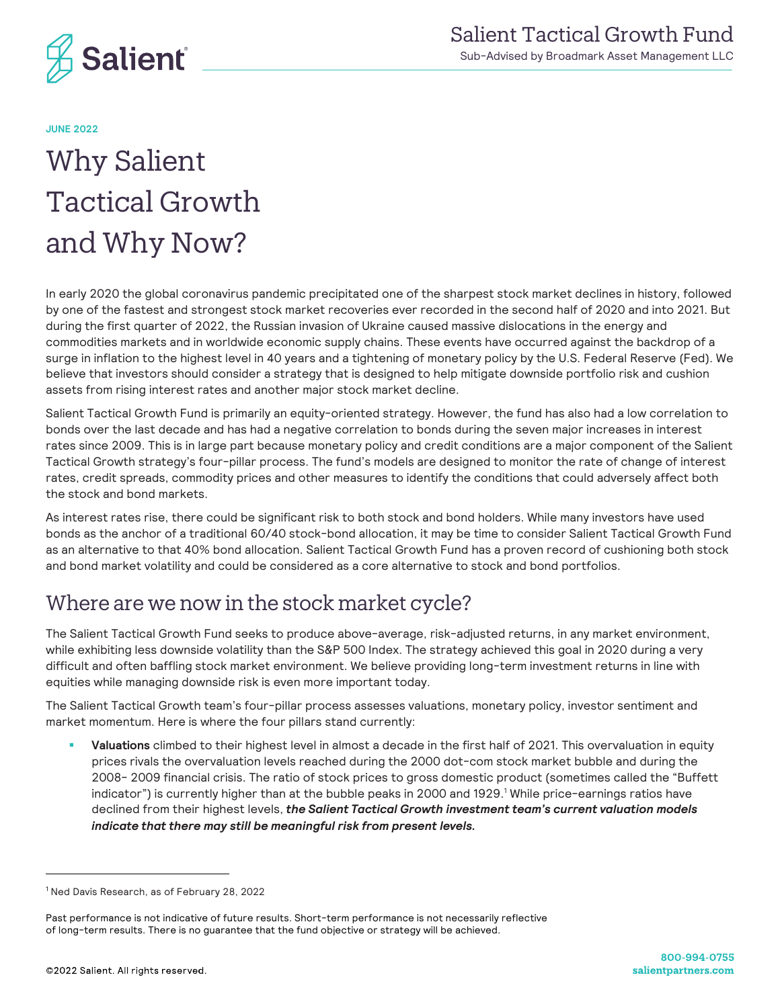

**JUNE 2022**

# Why Salient Tactical Growth and Why Now?

In early 2020 the global coronavirus pandemic precipitated one of the sharpest stock market declines in history, followed by one of the fastest and strongest stock market recoveries ever recorded in the second half of 2020 and into 2021. But during the first quarter of 2022, the Russian invasion of Ukraine caused massive dislocations in the energy and commodities markets and in worldwide economic supply chains. These events have occurred against the backdrop of a surge in inflation to the highest level in 40 years and a tightening of monetary policy by the U.S. Federal Reserve (Fed). We believe that investors should consider a strategy that is designed to help mitigate downside portfolio risk and cushion assets from rising interest rates and another major stock market decline.

Salient Tactical Growth Fund is primarily an equity-oriented strategy. However, the fund has also had a low correlation to bonds over the last decade and has had a negative correlation to bonds during the seven major increases in interest rates since 2009. This is in large part because monetary policy and credit conditions are a major component of the Salient Tactical Growth strategy's four-pillar process. The fund's models are designed to monitor the rate of change of interest rates, credit spreads, commodity prices and other measures to identify the conditions that could adversely affect both the stock and bond markets.

As interest rates rise, there could be significant risk to both stock and bond holders. While many investors have used bonds as the anchor of a traditional 60/40 stock-bond allocation, it may be time to consider Salient Tactical Growth Fund as an alternative to that 40% bond allocation. Salient Tactical Growth Fund has a proven record of cushioning both stock and bond market volatility and could be considered as a core alternative to stock and bond portfolios.

## Where are we now in the stock market cycle?

The Salient Tactical Growth Fund seeks to produce above-average, risk-adjusted returns, in any market environment, while exhibiting less downside volatility than the S&P 500 Index. The strategy achieved this goal in 2020 during a very difficult and often baffling stock market environment. We believe providing long-term investment returns in line with equities while managing downside risk is even more important today.

The Salient Tactical Growth team's four-pillar process assesses valuations, monetary policy, investor sentiment and market momentum. Here is where the four pillars stand currently:

§ **Valuations** climbed to their highest level in almost a decade in the first half of 2021. This overvaluation in equity prices rivals the overvaluation levels reached during the 2000 dot-com stock market bubble and during the 2008- 2009 financial crisis. The ratio of stock prices to gross domestic product (sometimes called the "Buffett indicator") is currently higher than at the bubble peaks in 2000 and 1929.<sup>1</sup> While price-earnings ratios have declined from their highest levels, *the Salient Tactical Growth investment team's current valuation models indicate that there may still be meaningful risk from present levels.*

<sup>1</sup> Ned Davis Research, as of February 28, 2022

Past performance is not indicative of future results. Short-term performance is not necessarily reflective of long-term results. There is no guarantee that the fund objective or strategy will be achieved.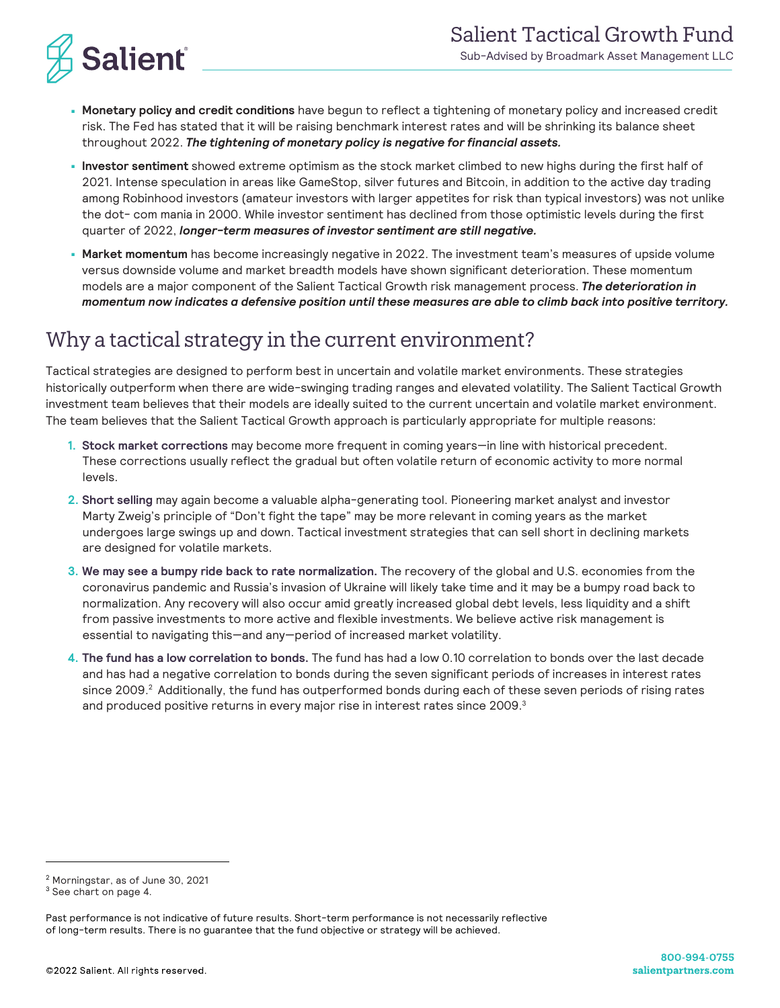

- **Monetary policy and credit conditions** have begun to reflect a tightening of monetary policy and increased credit risk. The Fed has stated that it will be raising benchmark interest rates and will be shrinking its balance sheet throughout 2022. *The tightening of monetary policy is negative for financial assets.*
- **Investor sentiment** showed extreme optimism as the stock market climbed to new highs during the first half of 2021. Intense speculation in areas like GameStop, silver futures and Bitcoin, in addition to the active day trading among Robinhood investors (amateur investors with larger appetites for risk than typical investors) was not unlike the dot- com mania in 2000. While investor sentiment has declined from those optimistic levels during the first quarter of 2022, *longer-term measures of investor sentiment are still negative.*
- **Market momentum** has become increasingly negative in 2022. The investment team's measures of upside volume versus downside volume and market breadth models have shown significant deterioration. These momentum models are a major component of the Salient Tactical Growth risk management process. *The deterioration in momentum now indicates a defensive position until these measures are able to climb back into positive territory.*

### Why a tactical strategy in the current environment?

Tactical strategies are designed to perform best in uncertain and volatile market environments. These strategies historically outperform when there are wide-swinging trading ranges and elevated volatility. The Salient Tactical Growth investment team believes that their models are ideally suited to the current uncertain and volatile market environment. The team believes that the Salient Tactical Growth approach is particularly appropriate for multiple reasons:

- **1. Stock market corrections** may become more frequent in coming years—in line with historical precedent. These corrections usually reflect the gradual but often volatile return of economic activity to more normal levels.
- **2. Short selling** may again become a valuable alpha-generating tool. Pioneering market analyst and investor Marty Zweig's principle of "Don't fight the tape" may be more relevant in coming years as the market undergoes large swings up and down. Tactical investment strategies that can sell short in declining markets are designed for volatile markets.
- **3. We may see a bumpy ride back to rate normalization.** The recovery of the global and U.S. economies from the coronavirus pandemic and Russia's invasion of Ukraine will likely take time and it may be a bumpy road back to normalization. Any recovery will also occur amid greatly increased global debt levels, less liquidity and a shift from passive investments to more active and flexible investments. We believe active risk management is essential to navigating this—and any—period of increased market volatility.
- **4. The fund has a low correlation to bonds.** The fund has had a low 0.10 correlation to bonds over the last decade and has had a negative correlation to bonds during the seven significant periods of increases in interest rates since 2009.<sup>2</sup> Additionally, the fund has outperformed bonds during each of these seven periods of rising rates and produced positive returns in every major rise in interest rates since 2009.<sup>3</sup>

<sup>2</sup> Morningstar, as of June 30, 2021

<sup>3</sup> See chart on page 4.

Past performance is not indicative of future results. Short-term performance is not necessarily reflective of long-term results. There is no guarantee that the fund objective or strategy will be achieved.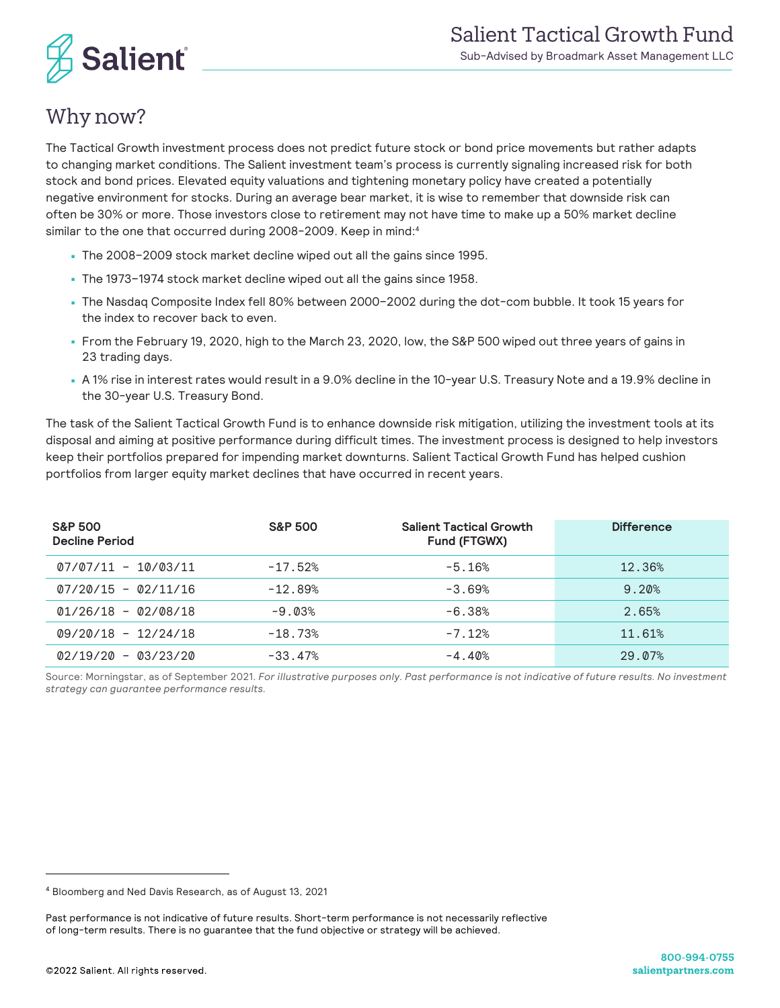

# Why now?

The Tactical Growth investment process does not predict future stock or bond price movements but rather adapts to changing market conditions. The Salient investment team's process is currently signaling increased risk for both stock and bond prices. Elevated equity valuations and tightening monetary policy have created a potentially negative environment for stocks. During an average bear market, it is wise to remember that downside risk can often be 30% or more. Those investors close to retirement may not have time to make up a 50% market decline similar to the one that occurred during 2008-2009. Keep in mind:<sup>4</sup>

- The 2008–2009 stock market decline wiped out all the gains since 1995.
- The 1973–1974 stock market decline wiped out all the gains since 1958.
- The Nasdaq Composite Index fell 80% between 2000–2002 during the dot-com bubble. It took 15 years for the index to recover back to even.
- From the February 19, 2020, high to the March 23, 2020, low, the S&P 500 wiped out three years of gains in 23 trading days.
- A 1% rise in interest rates would result in a 9.0% decline in the 10-year U.S. Treasury Note and a 19.9% decline in the 30-year U.S. Treasury Bond.

The task of the Salient Tactical Growth Fund is to enhance downside risk mitigation, utilizing the investment tools at its disposal and aiming at positive performance during difficult times. The investment process is designed to help investors keep their portfolios prepared for impending market downturns. Salient Tactical Growth Fund has helped cushion portfolios from larger equity market declines that have occurred in recent years.

| <b>S&amp;P 500</b><br><b>Decline Period</b> | <b>S&amp;P 500</b> | <b>Salient Tactical Growth</b><br>Fund (FTGWX) | <b>Difference</b> |
|---------------------------------------------|--------------------|------------------------------------------------|-------------------|
| $07/07/11 - 10/03/11$                       | $-17.52%$          | $-5.16%$                                       | 12.36%            |
| $07/20/15 - 02/11/16$                       | $-12.89%$          | $-3.69%$                                       | 9.20%             |
| $01/26/18 - 02/08/18$                       | $-9.03%$           | $-6.38%$                                       | 2.65%             |
| $09/20/18 - 12/24/18$                       | $-18.73%$          | $-7.12%$                                       | 11.61%            |
| $02/19/20 - 03/23/20$                       | $-33.47%$          | $-4.40%$                                       | 29.07%            |

Source: Morningstar, as of September 2021. *For illustrative purposes only. Past performance is not indicative of future results. No investment strategy can guarantee performance results.*

<sup>4</sup> Bloomberg and Ned Davis Research, as of August 13, 2021

Past performance is not indicative of future results. Short-term performance is not necessarily reflective of long-term results. There is no guarantee that the fund objective or strategy will be achieved.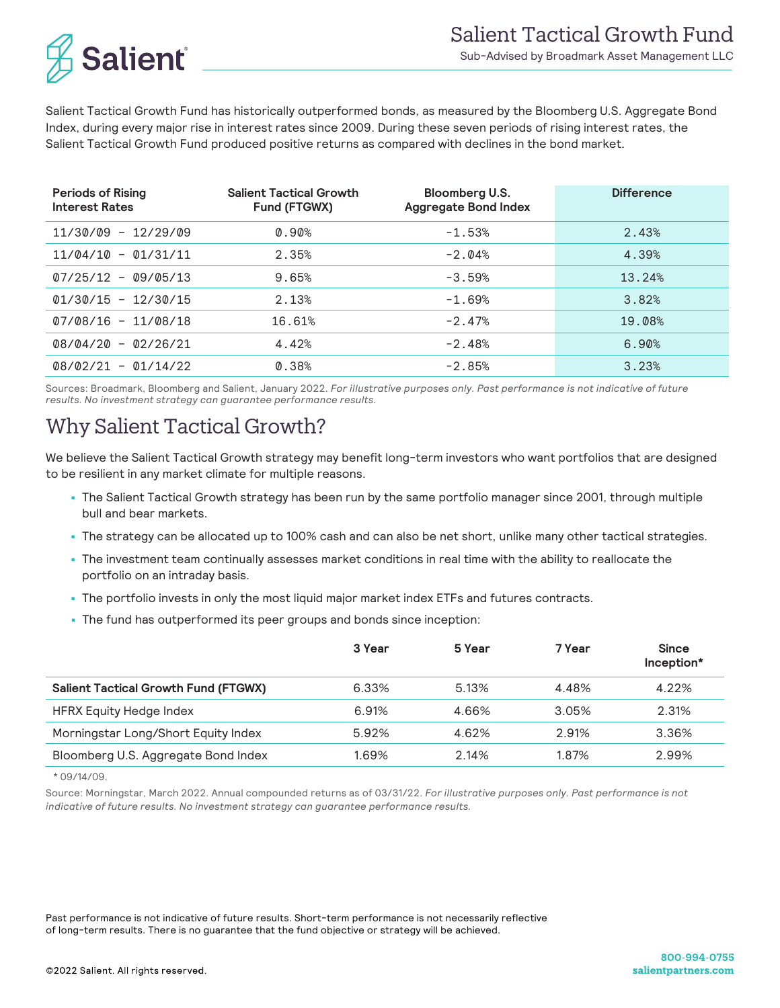

Salient Tactical Growth Fund has historically outperformed bonds, as measured by the Bloomberg U.S. Aggregate Bond Index, during every major rise in interest rates since 2009. During these seven periods of rising interest rates, the Salient Tactical Growth Fund produced positive returns as compared with declines in the bond market.

| <b>Periods of Rising</b><br><b>Interest Rates</b> | <b>Salient Tactical Growth</b><br>Fund (FTGWX) | Bloomberg U.S.<br><b>Aggregate Bond Index</b> | <b>Difference</b> |
|---------------------------------------------------|------------------------------------------------|-----------------------------------------------|-------------------|
| $11/30/09 - 12/29/09$                             | $0.90\%$                                       | $-1.53%$                                      | 2.43%             |
| $11/04/10 - 01/31/11$                             | 2.35%                                          | $-2.04%$                                      | 4.39%             |
| $07/25/12 - 09/05/13$                             | 9.65%                                          | $-3.59%$                                      | 13.24%            |
| $01/30/15 - 12/30/15$                             | 2.13%                                          | $-1.69%$                                      | 3.82%             |
| $07/08/16 - 11/08/18$                             | 16.61%                                         | $-2.47%$                                      | 19.08%            |
| $08/04/20 - 02/26/21$                             | 4.42%                                          | $-2.48%$                                      | 6.90%             |
| $08/02/21 - 01/14/22$                             | 0.38%                                          | $-2.85%$                                      | 3.23%             |

Sources: Broadmark, Bloomberg and Salient, January 2022. *For illustrative purposes only. Past performance is not indicative of future results. No investment strategy can guarantee performance results.*

### Why Salient Tactical Growth?

We believe the Salient Tactical Growth strategy may benefit long-term investors who want portfolios that are designed to be resilient in any market climate for multiple reasons.

- The Salient Tactical Growth strategy has been run by the same portfolio manager since 2001, through multiple bull and bear markets.
- The strategy can be allocated up to 100% cash and can also be net short, unlike many other tactical strategies.
- The investment team continually assesses market conditions in real time with the ability to reallocate the portfolio on an intraday basis.
- The portfolio invests in only the most liquid major market index ETFs and futures contracts.
- The fund has outperformed its peer groups and bonds since inception:

|                                             | 3 Year | 5 Year | 7 Year | <b>Since</b><br>Inception* |
|---------------------------------------------|--------|--------|--------|----------------------------|
| <b>Salient Tactical Growth Fund (FTGWX)</b> | 6.33%  | 5.13%  | 4.48%  | 4.22%                      |
| HFRX Equity Hedge Index                     | 6.91%  | 4.66%  | 3.05%  | 2.31%                      |
| Morningstar Long/Short Equity Index         | 5.92%  | 4.62%  | 2.91%  | 3.36%                      |
| Bloomberg U.S. Aggregate Bond Index         | 1.69%  | 2.14%  | 1.87%  | 2.99%                      |

\* 09/14/09.

Source: Morningstar, March 2022. Annual compounded returns as of 03/31/22. *For illustrative purposes only. Past performance is not indicative of future results. No investment strategy can guarantee performance results.*

Past performance is not indicative of future results. Short-term performance is not necessarily reflective of long-term results. There is no guarantee that the fund objective or strategy will be achieved.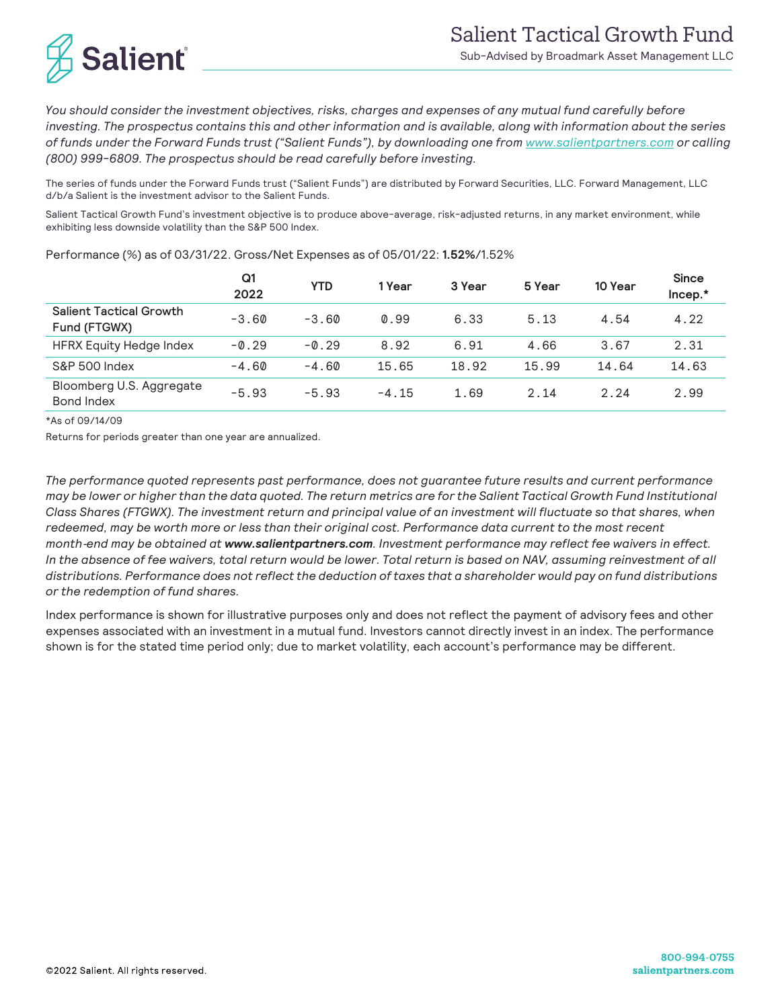

*You should consider the investment objectives, risks, charges and expenses of any mutual fund carefully before investing. The prospectus contains this and other information and is available, along with information about the series of funds under the Forward Funds trust ("Salient Funds"), by downloading one from www.salientpartners.com or calling (800) 999-6809. The prospectus should be read carefully before investing.*

The series of funds under the Forward Funds trust ("Salient Funds") are distributed by Forward Securities, LLC. Forward Management, LLC d/b/a Salient is the investment advisor to the Salient Funds.

Salient Tactical Growth Fund's investment objective is to produce above-average, risk-adjusted returns, in any market environment, while exhibiting less downside volatility than the S&P 500 Index.

|                                                | Q <sub>1</sub><br>2022 | <b>YTD</b> | 1 Year  | 3 Year | 5 Year | 10 Year | <b>Since</b><br>Incep.* |
|------------------------------------------------|------------------------|------------|---------|--------|--------|---------|-------------------------|
| <b>Salient Tactical Growth</b><br>Fund (FTGWX) | $-3.60$                | $-3.60$    | 0.99    | 6.33   | 5.13   | 4.54    | 4.22                    |
| HFRX Equity Hedge Index                        | $-0.29$                | $-0.29$    | 8.92    | 6.91   | 4.66   | 3.67    | 2.31                    |
| S&P 500 Index                                  | $-4.60$                | $-4.60$    | 15.65   | 18.92  | 15.99  | 14.64   | 14.63                   |
| Bloomberg U.S. Aggregate<br>Bond Index         | $-5.93$                | $-5.93$    | $-4.15$ | 1.69   | 2.14   | 2.24    | 2.99                    |

Performance (%) as of 03/31/22. Gross/Net Expenses as of 05/01/22: **1.52%**/1.52%

\*As of 09/14/09

Returns for periods greater than one year are annualized.

*The performance quoted represents past performance, does not guarantee future results and current performance*  may be lower or higher than the data quoted. The return metrics are for the Salient Tactical Growth Fund Institutional *Class Shares (FTGWX). The investment return and principal value of an investment will fluctuate so that shares, when redeemed, may be worth more or less than their original cost. Performance data current to the most recent month*-*end may be obtained at www.salientpartners.com. Investment performance may reflect fee waivers in effect.*  In the absence of fee waivers, total return would be lower. Total return is based on NAV, assuming reinvestment of all distributions. Performance does not reflect the deduction of taxes that a shareholder would pay on fund distributions *or the redemption of fund shares.*

Index performance is shown for illustrative purposes only and does not reflect the payment of advisory fees and other expenses associated with an investment in a mutual fund. Investors cannot directly invest in an index. The performance shown is for the stated time period only; due to market volatility, each account's performance may be different.